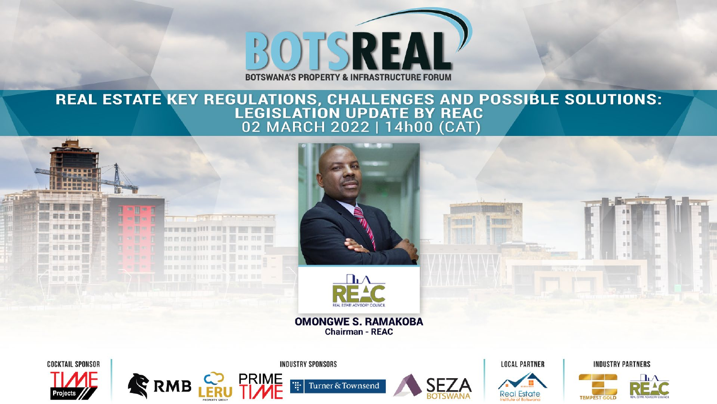

# **REAL ESTATE KEY REGULATIONS, CHALLENGES AND POSSIBLE SOLUTIONS:<br>LEGISLATION UPDATE BY REAC<br>02 MARCH 2022 | 14h00 (CAT)**



**Real Estate** 

**TEMPEST GOLD**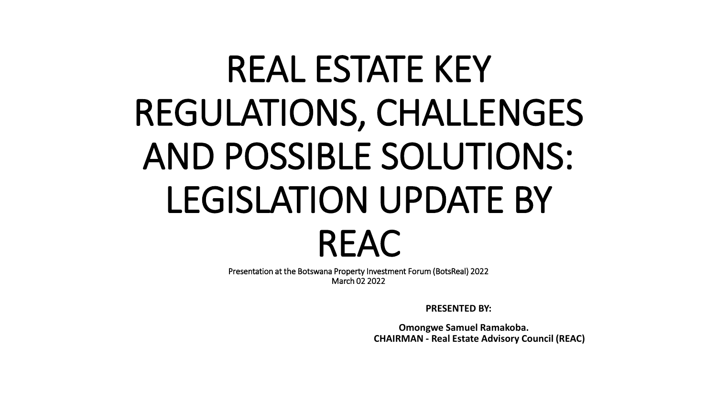# REAL ESTATE KEY REGULATIONS, CHALLENGES AND POSSIBLE SOLUTIONS: LEGISLATION UPDATE BY REAC

Presentation at the Botswana Property Investment Forum (BotsReal) 2022 March 02 2022

**PRESENTED BY:**

**Omongwe Samuel Ramakoba. CHAIRMAN - Real Estate Advisory Council (REAC)**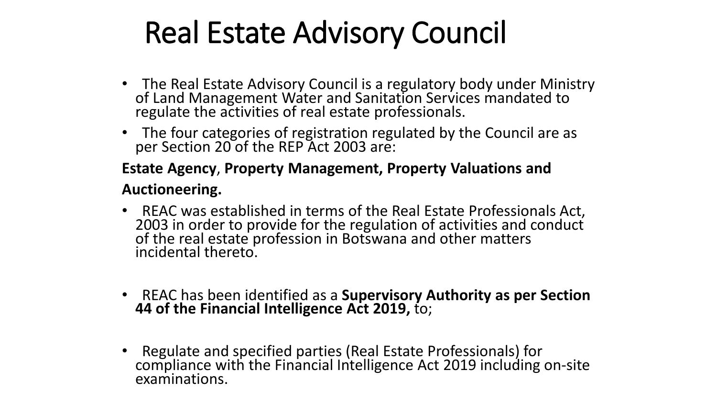## Real Estate Advisory Council

- The Real Estate Advisory Council is a regulatory body under Ministry of Land Management Water and Sanitation Services mandated to regulate the activities of real estate professionals.
- The four categories of registration regulated by the Council are as per Section 20 of the REP Act 2003 are:

#### **Estate Agency**, **Property Management, Property Valuations and**

#### **Auctioneering.**

- REAC was established in terms of the Real Estate Professionals Act, 2003 in order to provide for the regulation of activities and conduct of the real estate profession in Botswana and other matters incidental thereto.
- REAC has been identified as a **Supervisory Authority as per Section 44 of the Financial Intelligence Act 2019,** to;
- Regulate and specified parties (Real Estate Professionals) for compliance with the Financial Intelligence Act 2019 including on-site examinations.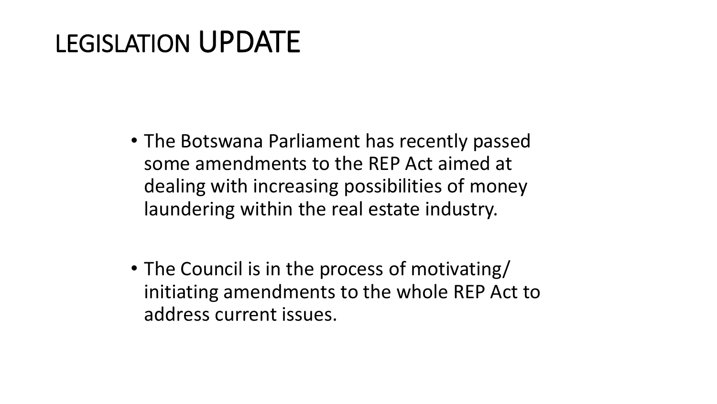## LEGISLATION UPDATE

- The Botswana Parliament has recently passed some amendments to the REP Act aimed at dealing with increasing possibilities of money laundering within the real estate industry.
- The Council is in the process of motivating/ initiating amendments to the whole REP Act to address current issues.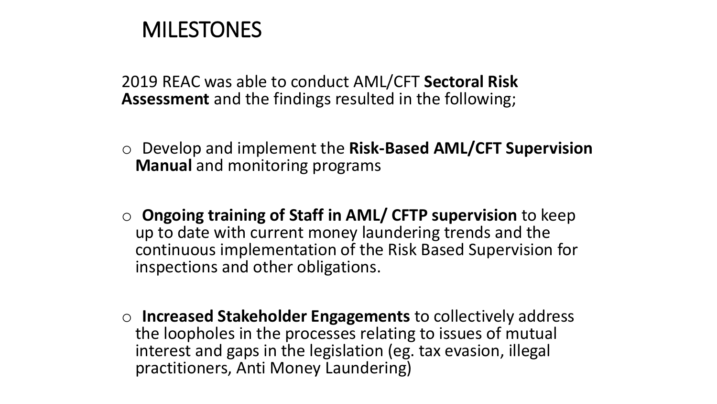### **MILESTONES**

2019 REAC was able to conduct AML/CFT **Sectoral Risk Assessment** and the findings resulted in the following;

- o Develop and implement the **Risk-Based AML/CFT Supervision Manual** and monitoring programs
- o **Ongoing training of Staff in AML/ CFTP supervision** to keep up to date with current money laundering trends and the continuous implementation of the Risk Based Supervision for inspections and other obligations.
- o **Increased Stakeholder Engagements** to collectively address the loopholes in the processes relating to issues of mutual interest and gaps in the legislation (eg. tax evasion, illegal practitioners, Anti Money Laundering)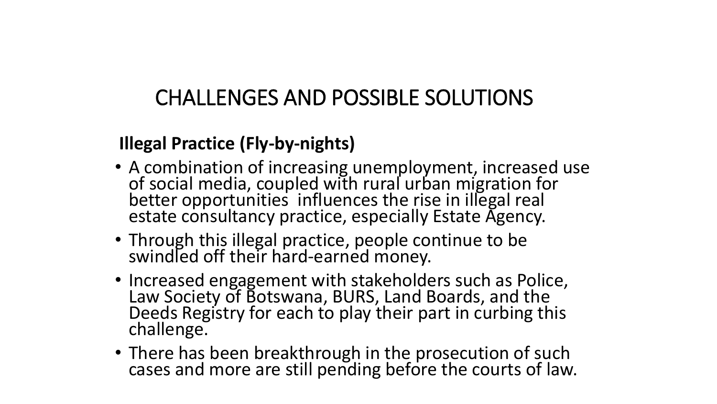### CHALLENGES AND POSSIBLE SOLUTIONS

#### **Illegal Practice (Fly-by-nights)**

- A combination of increasing unemployment, increased use of social media, coupled with rural urban migration for better opportunities influences the rise in illegal real estate consultancy practice, especially Estate Agency.
- Through this illegal practice, people continue to be swindled off their hard-earned money.
- Increased engagement with stakeholders such as Police, Law Society of Botswana, BURS, Land Boards, and the Deeds Registry for each to play their part in curbing this challenge.
- There has been breakthrough in the prosecution of such cases and more are still pending before the courts of law.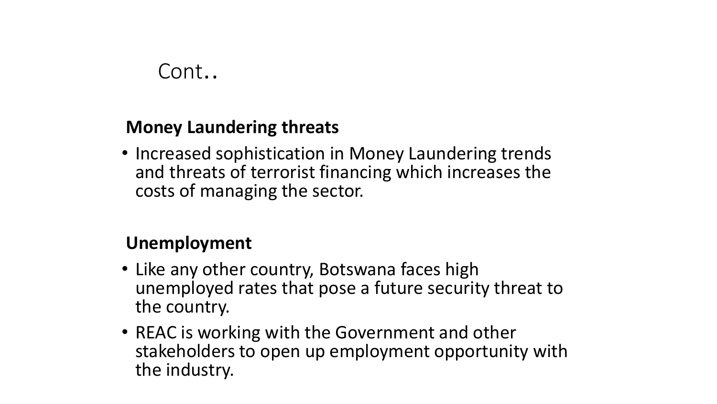### Cont..

#### **Money Laundering threats**

• Increased sophistication in Money Laundering trends and threats of terrorist financing which increases the costs of managing the sector.

#### **Unemployment**

- Like any other country, Botswana faces high unemployed rates that pose a future security threat to the country.
- REAC is working with the Government and other stakeholders to open up employment opportunity with the industry.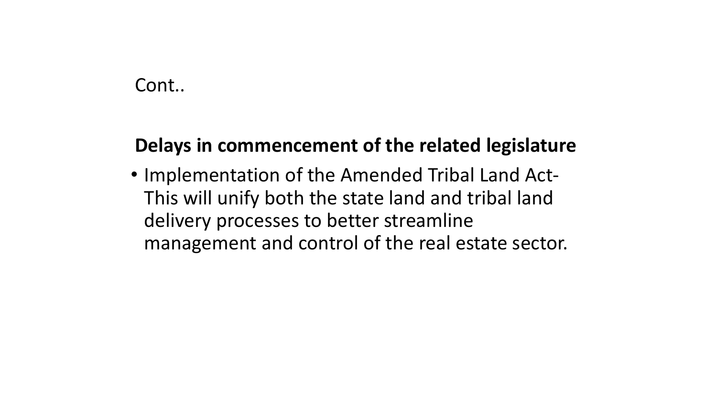#### Cont..

#### **Delays in commencement of the related legislature**

• Implementation of the Amended Tribal Land Act-This will unify both the state land and tribal land delivery processes to better streamline management and control of the real estate sector.